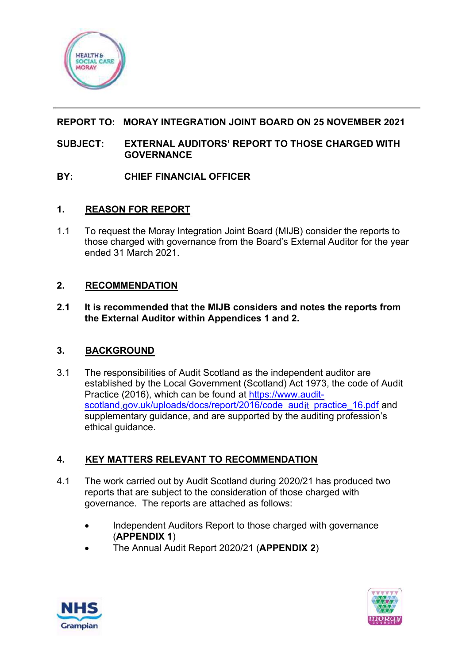

# **REPORT TO: MORAY INTEGRATION JOINT BOARD ON 25 NOVEMBER 2021**

## **SUBJECT: EXTERNAL AUDITORS' REPORT TO THOSE CHARGED WITH GOVERNANCE**

## **BY: CHIEF FINANCIAL OFFICER**

## **1. REASON FOR REPORT**

1.1 To request the Moray Integration Joint Board (MIJB) consider the reports to those charged with governance from the Board's External Auditor for the year ended 31 March 2021.

## **2. RECOMMENDATION**

**2.1 It is recommended that the MIJB considers and notes the reports from the External Auditor within Appendices 1 and 2.**

# **3. BACKGROUND**

3.1 The responsibilities of Audit Scotland as the independent auditor are established by the Local Government (Scotland) Act 1973, the code of Audit Practice (2016), which can be found at [https://www.audit](https://www.audit-scotland.gov.uk/uploads/docs/report/2016/code_audit_practice_16.pdf)[scotland.gov.uk/uploads/docs/report/2016/code\\_audit\\_practice\\_16.pdf](https://www.audit-scotland.gov.uk/uploads/docs/report/2016/code_audit_practice_16.pdf) and supplementary guidance, and are supported by the auditing profession's ethical guidance.

# **4. KEY MATTERS RELEVANT TO RECOMMENDATION**

- 4.1 The work carried out by Audit Scotland during 2020/21 has produced two reports that are subject to the consideration of those charged with governance. The reports are attached as follows:
	- Independent Auditors Report to those charged with governance (**APPENDIX 1**)
	- The Annual Audit Report 2020/21 (**APPENDIX 2**)



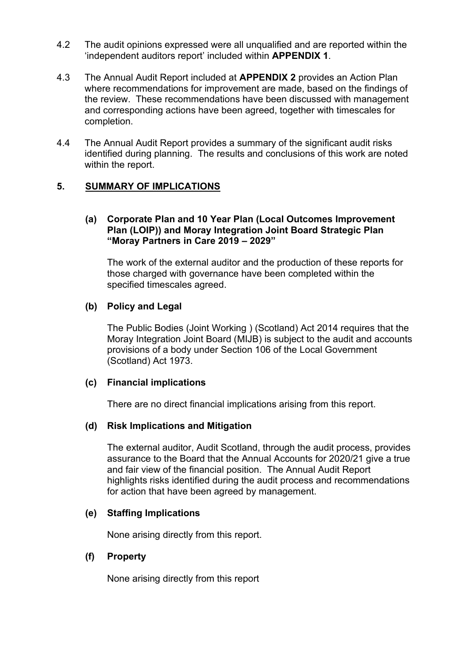- 4.2 The audit opinions expressed were all unqualified and are reported within the 'independent auditors report' included within **APPENDIX 1**.
- 4.3 The Annual Audit Report included at **APPENDIX 2** provides an Action Plan where recommendations for improvement are made, based on the findings of the review. These recommendations have been discussed with management and corresponding actions have been agreed, together with timescales for completion.
- 4.4 The Annual Audit Report provides a summary of the significant audit risks identified during planning. The results and conclusions of this work are noted within the report.

#### **5. SUMMARY OF IMPLICATIONS**

#### **(a) Corporate Plan and 10 Year Plan (Local Outcomes Improvement Plan (LOIP)) and Moray Integration Joint Board Strategic Plan "Moray Partners in Care 2019 – 2029"**

The work of the external auditor and the production of these reports for those charged with governance have been completed within the specified timescales agreed.

#### **(b) Policy and Legal**

The Public Bodies (Joint Working ) (Scotland) Act 2014 requires that the Moray Integration Joint Board (MIJB) is subject to the audit and accounts provisions of a body under Section 106 of the Local Government (Scotland) Act 1973.

#### **(c) Financial implications**

There are no direct financial implications arising from this report.

#### **(d) Risk Implications and Mitigation**

The external auditor, Audit Scotland, through the audit process, provides assurance to the Board that the Annual Accounts for 2020/21 give a true and fair view of the financial position. The Annual Audit Report highlights risks identified during the audit process and recommendations for action that have been agreed by management.

#### **(e) Staffing Implications**

None arising directly from this report.

#### **(f) Property**

None arising directly from this report